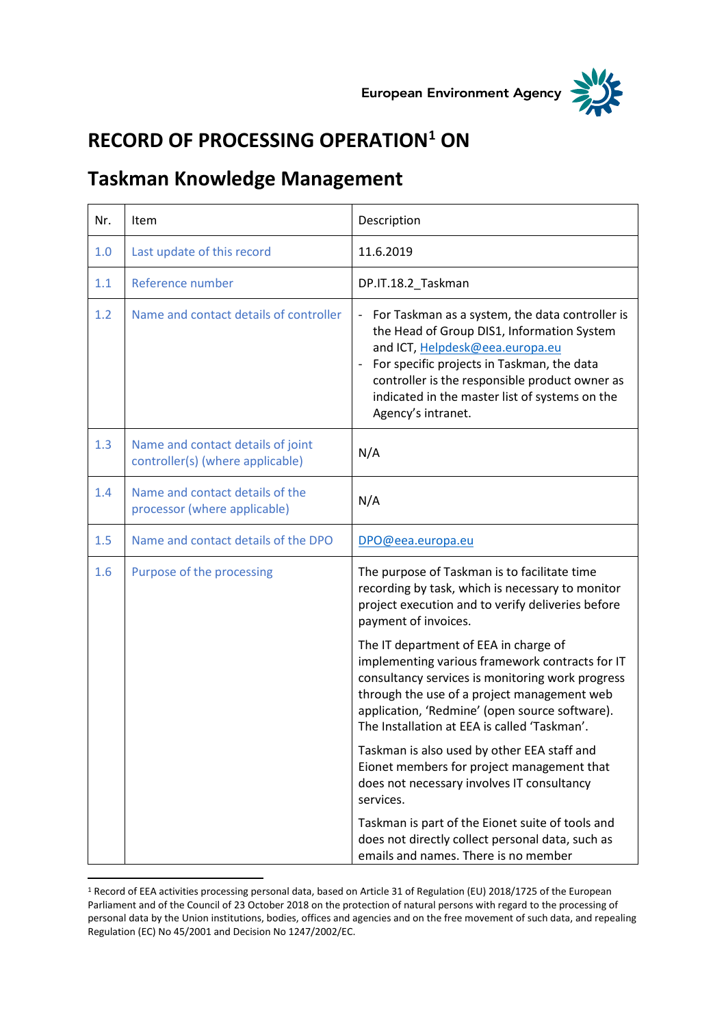



## **RECORD OF PROCESSING OPERATION<sup>1</sup> ON**

## **Taskman Knowledge Management**

| Nr. | Item                                                                  | Description                                                                                                                                                                                                                                                                                              |
|-----|-----------------------------------------------------------------------|----------------------------------------------------------------------------------------------------------------------------------------------------------------------------------------------------------------------------------------------------------------------------------------------------------|
| 1.0 | Last update of this record                                            | 11.6.2019                                                                                                                                                                                                                                                                                                |
| 1.1 | Reference number                                                      | DP.IT.18.2_Taskman                                                                                                                                                                                                                                                                                       |
| 1.2 | Name and contact details of controller                                | For Taskman as a system, the data controller is<br>the Head of Group DIS1, Information System<br>and ICT, Helpdesk@eea.europa.eu<br>For specific projects in Taskman, the data<br>controller is the responsible product owner as<br>indicated in the master list of systems on the<br>Agency's intranet. |
| 1.3 | Name and contact details of joint<br>controller(s) (where applicable) | N/A                                                                                                                                                                                                                                                                                                      |
| 1.4 | Name and contact details of the<br>processor (where applicable)       | N/A                                                                                                                                                                                                                                                                                                      |
| 1.5 | Name and contact details of the DPO                                   | DPO@eea.europa.eu                                                                                                                                                                                                                                                                                        |
| 1.6 | Purpose of the processing                                             | The purpose of Taskman is to facilitate time<br>recording by task, which is necessary to monitor<br>project execution and to verify deliveries before<br>payment of invoices.                                                                                                                            |
|     |                                                                       | The IT department of EEA in charge of<br>implementing various framework contracts for IT<br>consultancy services is monitoring work progress<br>through the use of a project management web<br>application, 'Redmine' (open source software).<br>The Installation at EEA is called 'Taskman'.            |
|     |                                                                       | Taskman is also used by other EEA staff and<br>Eionet members for project management that<br>does not necessary involves IT consultancy<br>services.                                                                                                                                                     |
|     |                                                                       | Taskman is part of the Eionet suite of tools and<br>does not directly collect personal data, such as<br>emails and names. There is no member                                                                                                                                                             |

<sup>1</sup> Record of EEA activities processing personal data, based on Article 31 of Regulation (EU) 2018/1725 of the European Parliament and of the Council of 23 October 2018 on the protection of natural persons with regard to the processing of personal data by the Union institutions, bodies, offices and agencies and on the free movement of such data, and repealing Regulation (EC) No 45/2001 and Decision No 1247/2002/EC.

 $\overline{\phantom{a}}$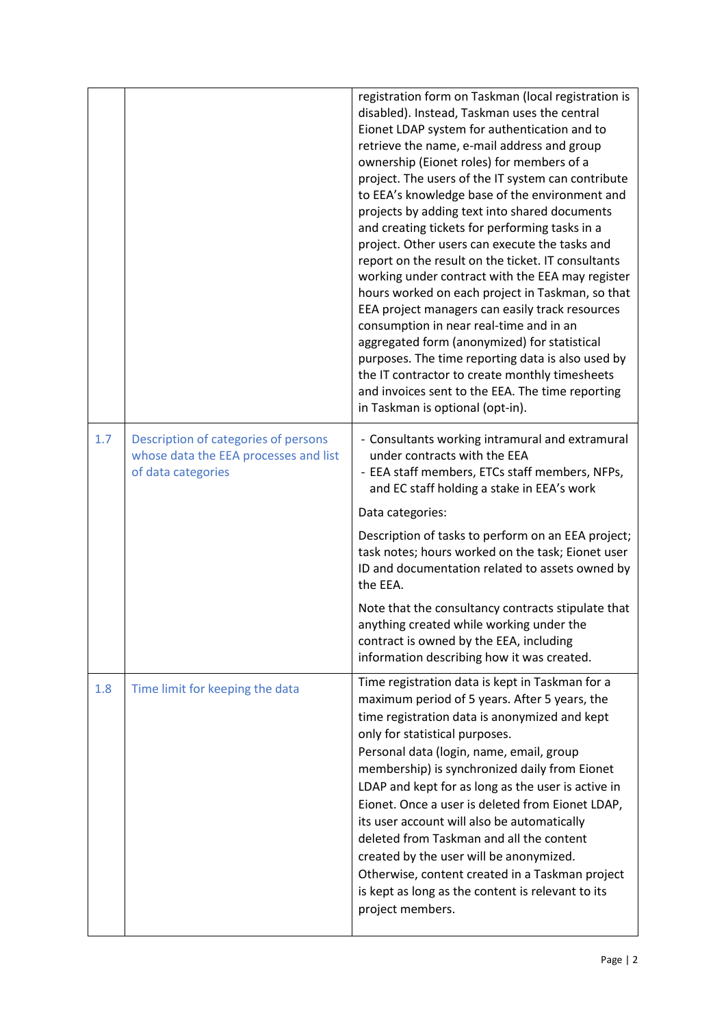|     |                                                                                                     | registration form on Taskman (local registration is<br>disabled). Instead, Taskman uses the central<br>Eionet LDAP system for authentication and to<br>retrieve the name, e-mail address and group<br>ownership (Eionet roles) for members of a<br>project. The users of the IT system can contribute<br>to EEA's knowledge base of the environment and<br>projects by adding text into shared documents<br>and creating tickets for performing tasks in a<br>project. Other users can execute the tasks and<br>report on the result on the ticket. IT consultants<br>working under contract with the EEA may register<br>hours worked on each project in Taskman, so that<br>EEA project managers can easily track resources<br>consumption in near real-time and in an<br>aggregated form (anonymized) for statistical<br>purposes. The time reporting data is also used by<br>the IT contractor to create monthly timesheets<br>and invoices sent to the EEA. The time reporting<br>in Taskman is optional (opt-in). |
|-----|-----------------------------------------------------------------------------------------------------|-------------------------------------------------------------------------------------------------------------------------------------------------------------------------------------------------------------------------------------------------------------------------------------------------------------------------------------------------------------------------------------------------------------------------------------------------------------------------------------------------------------------------------------------------------------------------------------------------------------------------------------------------------------------------------------------------------------------------------------------------------------------------------------------------------------------------------------------------------------------------------------------------------------------------------------------------------------------------------------------------------------------------|
| 1.7 | Description of categories of persons<br>whose data the EEA processes and list<br>of data categories | - Consultants working intramural and extramural<br>under contracts with the EEA<br>- EEA staff members, ETCs staff members, NFPs,<br>and EC staff holding a stake in EEA's work                                                                                                                                                                                                                                                                                                                                                                                                                                                                                                                                                                                                                                                                                                                                                                                                                                         |
|     |                                                                                                     | Data categories:<br>Description of tasks to perform on an EEA project;<br>task notes; hours worked on the task; Eionet user<br>ID and documentation related to assets owned by<br>the EEA.                                                                                                                                                                                                                                                                                                                                                                                                                                                                                                                                                                                                                                                                                                                                                                                                                              |
|     |                                                                                                     | Note that the consultancy contracts stipulate that<br>anything created while working under the<br>contract is owned by the EEA, including<br>information describing how it was created.                                                                                                                                                                                                                                                                                                                                                                                                                                                                                                                                                                                                                                                                                                                                                                                                                                 |
| 1.8 | Time limit for keeping the data                                                                     | Time registration data is kept in Taskman for a<br>maximum period of 5 years. After 5 years, the<br>time registration data is anonymized and kept<br>only for statistical purposes.<br>Personal data (login, name, email, group<br>membership) is synchronized daily from Eionet<br>LDAP and kept for as long as the user is active in<br>Eionet. Once a user is deleted from Eionet LDAP,<br>its user account will also be automatically<br>deleted from Taskman and all the content<br>created by the user will be anonymized.<br>Otherwise, content created in a Taskman project<br>is kept as long as the content is relevant to its<br>project members.                                                                                                                                                                                                                                                                                                                                                            |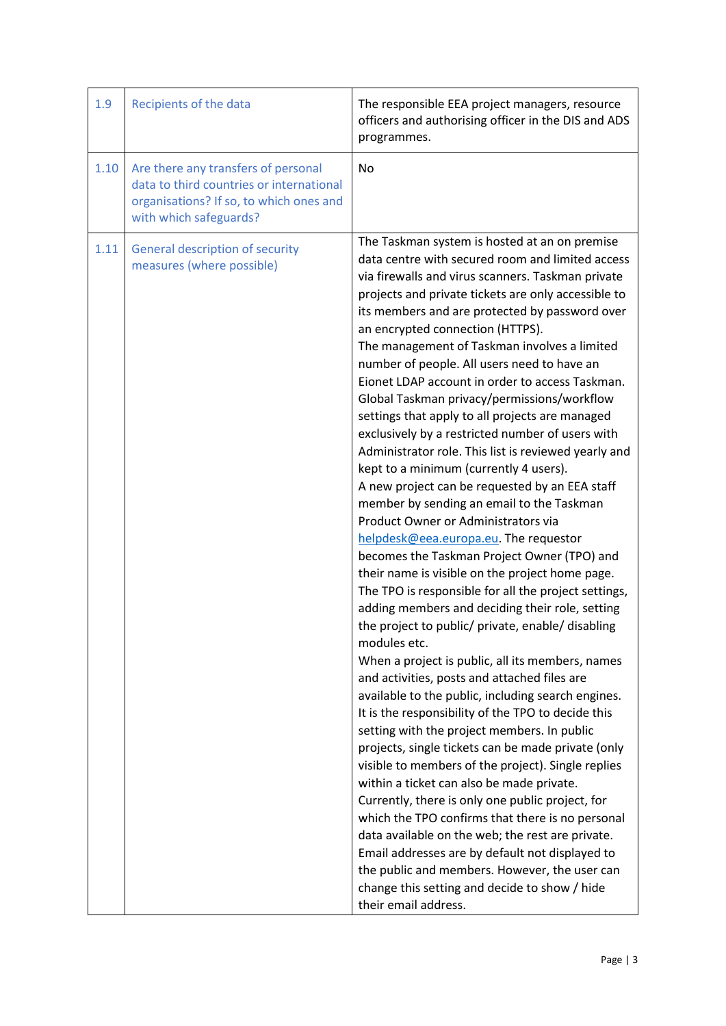| 1.9  | Recipients of the data                                                                                                                               | The responsible EEA project managers, resource<br>officers and authorising officer in the DIS and ADS<br>programmes.                                                                                                                                                                                                                                                                                                                                                                                                                                                                                                                                                                                                                                                                                                                                                                                                                                                                                                                                                                                                                                                                                                                                                                                                                                                                                                                                                                                                                                                                                                                                                                                                                                                                                                                                                                                                                            |
|------|------------------------------------------------------------------------------------------------------------------------------------------------------|-------------------------------------------------------------------------------------------------------------------------------------------------------------------------------------------------------------------------------------------------------------------------------------------------------------------------------------------------------------------------------------------------------------------------------------------------------------------------------------------------------------------------------------------------------------------------------------------------------------------------------------------------------------------------------------------------------------------------------------------------------------------------------------------------------------------------------------------------------------------------------------------------------------------------------------------------------------------------------------------------------------------------------------------------------------------------------------------------------------------------------------------------------------------------------------------------------------------------------------------------------------------------------------------------------------------------------------------------------------------------------------------------------------------------------------------------------------------------------------------------------------------------------------------------------------------------------------------------------------------------------------------------------------------------------------------------------------------------------------------------------------------------------------------------------------------------------------------------------------------------------------------------------------------------------------------------|
| 1.10 | Are there any transfers of personal<br>data to third countries or international<br>organisations? If so, to which ones and<br>with which safeguards? | <b>No</b>                                                                                                                                                                                                                                                                                                                                                                                                                                                                                                                                                                                                                                                                                                                                                                                                                                                                                                                                                                                                                                                                                                                                                                                                                                                                                                                                                                                                                                                                                                                                                                                                                                                                                                                                                                                                                                                                                                                                       |
| 1.11 | <b>General description of security</b><br>measures (where possible)                                                                                  | The Taskman system is hosted at an on premise<br>data centre with secured room and limited access<br>via firewalls and virus scanners. Taskman private<br>projects and private tickets are only accessible to<br>its members and are protected by password over<br>an encrypted connection (HTTPS).<br>The management of Taskman involves a limited<br>number of people. All users need to have an<br>Eionet LDAP account in order to access Taskman.<br>Global Taskman privacy/permissions/workflow<br>settings that apply to all projects are managed<br>exclusively by a restricted number of users with<br>Administrator role. This list is reviewed yearly and<br>kept to a minimum (currently 4 users).<br>A new project can be requested by an EEA staff<br>member by sending an email to the Taskman<br>Product Owner or Administrators via<br>helpdesk@eea.europa.eu. The requestor<br>becomes the Taskman Project Owner (TPO) and<br>their name is visible on the project home page.<br>The TPO is responsible for all the project settings,<br>adding members and deciding their role, setting<br>the project to public/ private, enable/ disabling<br>modules etc.<br>When a project is public, all its members, names<br>and activities, posts and attached files are<br>available to the public, including search engines.<br>It is the responsibility of the TPO to decide this<br>setting with the project members. In public<br>projects, single tickets can be made private (only<br>visible to members of the project). Single replies<br>within a ticket can also be made private.<br>Currently, there is only one public project, for<br>which the TPO confirms that there is no personal<br>data available on the web; the rest are private.<br>Email addresses are by default not displayed to<br>the public and members. However, the user can<br>change this setting and decide to show / hide<br>their email address. |